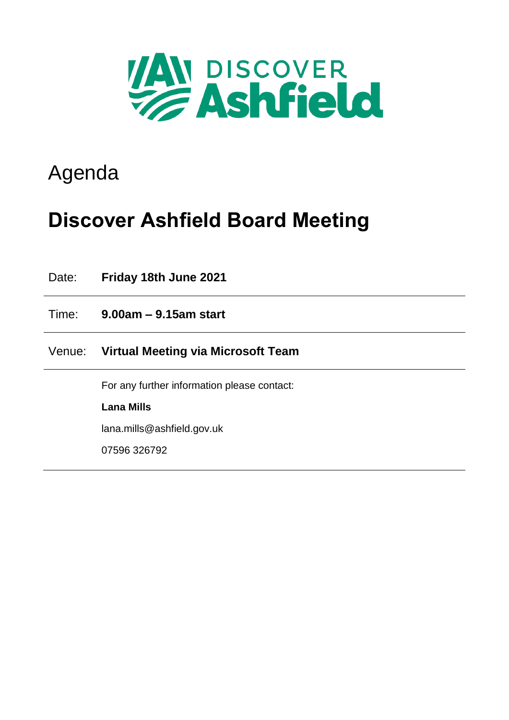

## Agenda

# **Discover Ashfield Board Meeting**

| Date:  | Friday 18th June 2021                       |
|--------|---------------------------------------------|
| Time:  | $9.00am - 9.15am$ start                     |
| Venue: | Virtual Meeting via Microsoft Team          |
|        | For any further information please contact: |
|        | <b>Lana Mills</b>                           |
|        | lana.mills@ashfield.gov.uk                  |
|        | 07596 326792                                |
|        |                                             |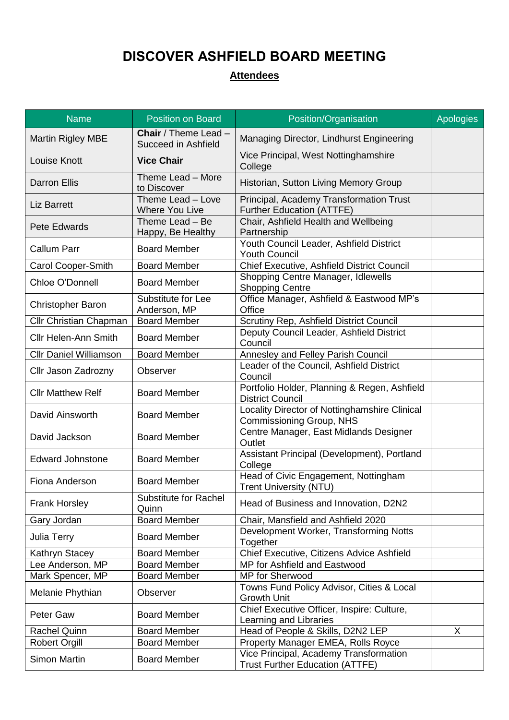### **DISCOVER ASHFIELD BOARD MEETING**

### **Attendees**

| <b>Name</b>                   | <b>Position on Board</b>                           | Position/Organisation                                                            | <b>Apologies</b> |
|-------------------------------|----------------------------------------------------|----------------------------------------------------------------------------------|------------------|
| <b>Martin Rigley MBE</b>      | <b>Chair</b> / Theme Lead -<br>Succeed in Ashfield | Managing Director, Lindhurst Engineering                                         |                  |
| <b>Louise Knott</b>           | <b>Vice Chair</b>                                  | Vice Principal, West Nottinghamshire<br>College                                  |                  |
| <b>Darron Ellis</b>           | Theme Lead - More<br>to Discover                   | Historian, Sutton Living Memory Group                                            |                  |
| <b>Liz Barrett</b>            | Theme Lead - Love<br><b>Where You Live</b>         | Principal, Academy Transformation Trust<br><b>Further Education (ATTFE)</b>      |                  |
| <b>Pete Edwards</b>           | Theme Lead - Be<br>Happy, Be Healthy               | Chair, Ashfield Health and Wellbeing<br>Partnership                              |                  |
| <b>Callum Parr</b>            | <b>Board Member</b>                                | Youth Council Leader, Ashfield District<br><b>Youth Council</b>                  |                  |
| Carol Cooper-Smith            | <b>Board Member</b>                                | Chief Executive, Ashfield District Council                                       |                  |
| Chloe O'Donnell               | <b>Board Member</b>                                | Shopping Centre Manager, Idlewells<br><b>Shopping Centre</b>                     |                  |
| <b>Christopher Baron</b>      | Substitute for Lee<br>Anderson, MP                 | Office Manager, Ashfield & Eastwood MP's<br>Office                               |                  |
| Cllr Christian Chapman        | <b>Board Member</b>                                | Scrutiny Rep, Ashfield District Council                                          |                  |
| <b>Cllr Helen-Ann Smith</b>   | <b>Board Member</b>                                | Deputy Council Leader, Ashfield District<br>Council                              |                  |
| <b>Cllr Daniel Williamson</b> | <b>Board Member</b>                                | <b>Annesley and Felley Parish Council</b>                                        |                  |
| Cllr Jason Zadrozny           | Observer                                           | Leader of the Council, Ashfield District<br>Council                              |                  |
| <b>Cllr Matthew Relf</b>      | <b>Board Member</b>                                | Portfolio Holder, Planning & Regen, Ashfield<br><b>District Council</b>          |                  |
| David Ainsworth               | <b>Board Member</b>                                | Locality Director of Nottinghamshire Clinical<br>Commissioning Group, NHS        |                  |
| David Jackson                 | <b>Board Member</b>                                | Centre Manager, East Midlands Designer<br>Outlet                                 |                  |
| <b>Edward Johnstone</b>       | <b>Board Member</b>                                | Assistant Principal (Development), Portland<br>College                           |                  |
| Fiona Anderson                | <b>Board Member</b>                                | Head of Civic Engagement, Nottingham<br><b>Trent University (NTU)</b>            |                  |
| <b>Frank Horsley</b>          | <b>Substitute for Rachel</b><br>Quinn              | Head of Business and Innovation, D2N2                                            |                  |
| Gary Jordan                   | <b>Board Member</b>                                | Chair, Mansfield and Ashfield 2020                                               |                  |
| Julia Terry                   | <b>Board Member</b>                                | Development Worker, Transforming Notts<br>Together                               |                  |
| Kathryn Stacey                | <b>Board Member</b>                                | Chief Executive, Citizens Advice Ashfield                                        |                  |
| Lee Anderson, MP              | <b>Board Member</b>                                | MP for Ashfield and Eastwood                                                     |                  |
| Mark Spencer, MP              | <b>Board Member</b>                                | MP for Sherwood                                                                  |                  |
| Melanie Phythian              | Observer                                           | Towns Fund Policy Advisor, Cities & Local<br><b>Growth Unit</b>                  |                  |
| <b>Peter Gaw</b>              | <b>Board Member</b>                                | Chief Executive Officer, Inspire: Culture,<br>Learning and Libraries             |                  |
| <b>Rachel Quinn</b>           | <b>Board Member</b>                                | Head of People & Skills, D2N2 LEP                                                | X                |
| <b>Robert Orgill</b>          | <b>Board Member</b>                                | Property Manager EMEA, Rolls Royce                                               |                  |
| Simon Martin                  | <b>Board Member</b>                                | Vice Principal, Academy Transformation<br><b>Trust Further Education (ATTFE)</b> |                  |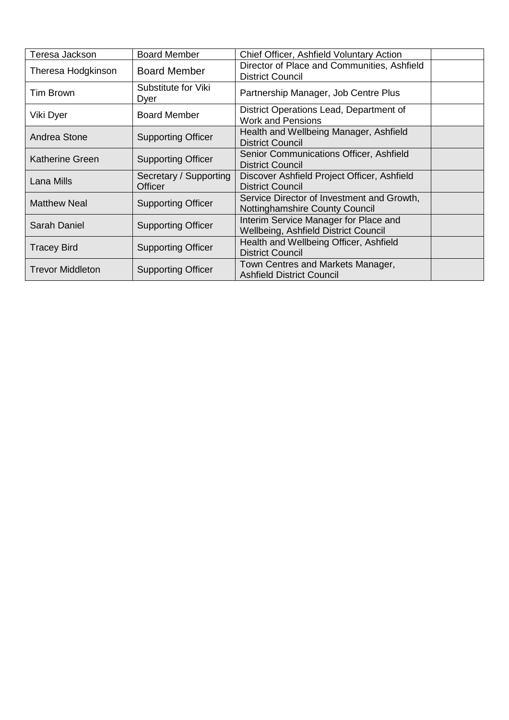| Teresa Jackson          | <b>Board Member</b>         | Chief Officer, Ashfield Voluntary Action                            |  |
|-------------------------|-----------------------------|---------------------------------------------------------------------|--|
| Theresa Hodgkinson      | <b>Board Member</b>         | Director of Place and Communities, Ashfield                         |  |
|                         |                             | <b>District Council</b>                                             |  |
| Tim Brown               | Substitute for Viki<br>Dyer | Partnership Manager, Job Centre Plus                                |  |
| Viki Dyer               | <b>Board Member</b>         | District Operations Lead, Department of<br><b>Work and Pensions</b> |  |
| Andrea Stone            | <b>Supporting Officer</b>   | Health and Wellbeing Manager, Ashfield<br><b>District Council</b>   |  |
| Katherine Green         | <b>Supporting Officer</b>   | Senior Communications Officer, Ashfield<br><b>District Council</b>  |  |
| Lana Mills              | Secretary / Supporting      | Discover Ashfield Project Officer, Ashfield                         |  |
|                         | Officer                     | <b>District Council</b>                                             |  |
| <b>Matthew Neal</b>     |                             | Service Director of Investment and Growth,                          |  |
|                         | <b>Supporting Officer</b>   | Nottinghamshire County Council                                      |  |
| <b>Sarah Daniel</b>     | <b>Supporting Officer</b>   | Interim Service Manager for Place and                               |  |
|                         |                             | Wellbeing, Ashfield District Council                                |  |
|                         | <b>Supporting Officer</b>   | Health and Wellbeing Officer, Ashfield                              |  |
| <b>Tracey Bird</b>      |                             | <b>District Council</b>                                             |  |
| <b>Trevor Middleton</b> | <b>Supporting Officer</b>   | Town Centres and Markets Manager,                                   |  |
|                         |                             | <b>Ashfield District Council</b>                                    |  |